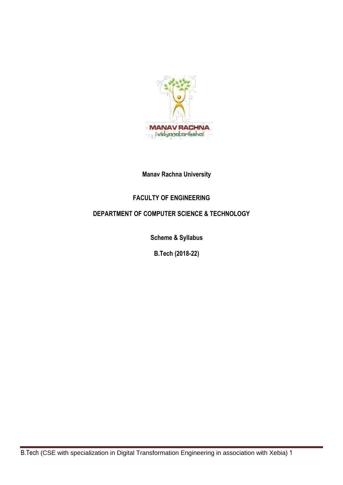

# **Manav Rachna University**

# **FACULTY OF ENGINEERING**

# **DEPARTMENT OF COMPUTER SCIENCE & TECHNOLOGY**

**Scheme & Syllabus**

**B.Tech (2018-22)**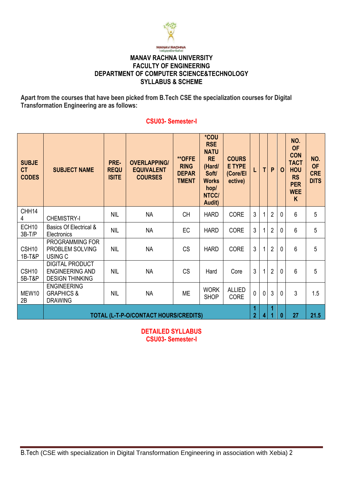

#### **MANAV RACHNA UNIVERSITY FACULTY OF ENGINEERING DEPARTMENT OF COMPUTER SCIENCE&TECHNOLOGY SYLLABUS & SCHEME**

**Apart from the courses that have been picked from B.Tech CSE the specialization courses for Digital Transformation Engineering are as follows:**

#### **SUBJE CT CODES SUBJECT NAME PRE-REQU ISITE OVERLAPPING/ EQUIVALENT COURSES \*\*OFFE RING DEPAR TMENT \*COU RSE NATU RE (Hard/ Soft/ Works hop/ NTCC/ Audit) COURS E TYPE (Core/El ective) L T P O NO. OF CON TACT HOU RS PER WEE K** CHH14 4 CHEMISTRY-I NIL | NA | CH |HARD | CORE | 3 | 1 | 2 | 0 | 6 | 5 ECH10 3B-T/P Basics Of Electrical & Basics Or Electrical  $\alpha$  NIL NA FC HARD CORE  $3$  1 2 0 6 5 CSH10 1B-T&P PROGRAMMING FOR PROBLEM SOLVING USING C NIL | NA | CS |HARD | CORE | 3 | 1 | 2 | 0 | 6 | 5 CSH10 5B-T&P DIGITAL PRODUCT ENGINEERING AND DESIGN THINKING NIL | NA | CS | Hard | Core | 3 | 1 | 2 | 0 | 6 | 5 MEW10 ENGINEERING GRAPHICS & NIL NA ME WORK ALLIED  $\text{CORE} \left[ 0 \right] 0 3 0 3 10 3 1.5$

#### **CSU03- Semester-I**

**NO. OF CRE DITS**

**TOTAL (L-T-P-O/CONTACT HOURS/CREDITS)**

2B

DRAWING

**DETAILED SYLLABUS CSU03- Semester-I**

**SHOP** 

**1 2 4** **1**

**1 0 27 21.5**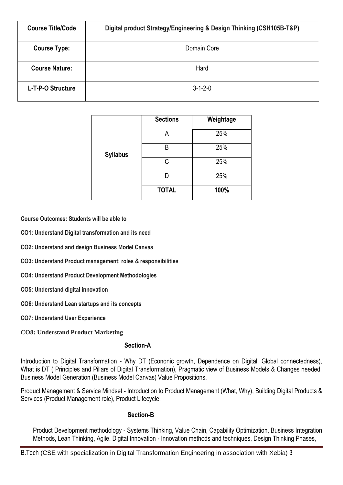| <b>Course Title/Code</b> | Digital product Strategy/Engineering & Design Thinking (CSH105B-T&P) |
|--------------------------|----------------------------------------------------------------------|
| <b>Course Type:</b>      | Domain Core                                                          |
| <b>Course Nature:</b>    | Hard                                                                 |
| L-T-P-O Structure        | $3 - 1 - 2 - 0$                                                      |

|                 | <b>Sections</b> | Weightage |
|-----------------|-----------------|-----------|
|                 | Α               | 25%       |
| <b>Syllabus</b> | R               | 25%       |
|                 | C               | 25%       |
|                 |                 | 25%       |
|                 | <b>TOTAL</b>    | 100%      |

**Course Outcomes: Students will be able to** 

**CO1: Understand Digital transformation and its need**

**CO2: Understand and design Business Model Canvas**

**CO3: Understand Product management: roles & responsibilities**

**CO4: Understand Product Development Methodologies**

**CO5: Understand digital innovation**

**CO6: Understand Lean startups and its concepts**

**CO7: Understand User Experience**

**CO8: Understand Product Marketing**

#### **Section-A**

Introduction to Digital Transformation - Why DT (Econonic growth, Dependence on Digital, Global connectedness), What is DT ( Principles and Pillars of Digital Transformation), Pragmatic view of Business Models & Changes needed, Business Model Generation (Business Model Canvas) Value Propositions.

Product Management & Service Mindset - Introduction to Product Management (What, Why), Building Digital Products & Services (Product Management role), Product Lifecycle.

#### **Section-B**

Product Development methodology - Systems Thinking, Value Chain, Capability Optimization, Business Integration Methods, Lean Thinking, Agile. Digital Innovation - Innovation methods and techniques, Design Thinking Phases,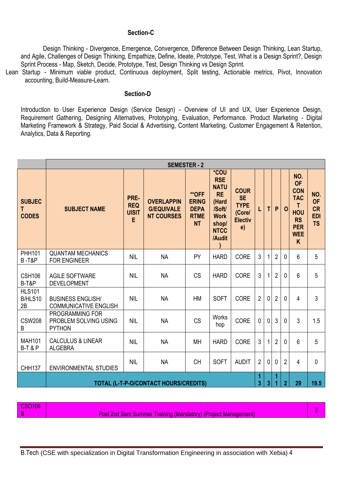#### **Section-C**

Design Thinking - Divergence, Emergence, Convergence, Difference Between Design Thinking, Lean Startup, and Agile, Challenges of Design Thinking, Empathize, Define, Ideate, Prototype, Test, What is a Design Sprint?, Design Sprint Process - Map, Sketch, Decide, Prototype, Test, Design Thinking vs Design Sprint.

Lean Startup - Minimum viable product, Continuous deployment, Split testing, Actionable metrics, Pivot, Innovation accounting, Build-Measure-Learn.

#### **Section-D**

Introduction to User Experience Design (Service Design) - Overview of UI and UX, User Experience Design, Requirement Gathering, Designing Alternatives, Prototyping, Evaluation, Performance. Product Marketing - Digital Marketing Framework & Strategy, Paid Social & Advertising, Content Marketing, Customer Engagement & Retention, Analytics, Data & Reporting.

|                                     | <b>SEMESTER - 2</b>                                                                       |                                         |                                                             |                                                                  |                                                                                                                    |                                                                           |                |              |                |                |                                                                                                               |                                                          |
|-------------------------------------|-------------------------------------------------------------------------------------------|-----------------------------------------|-------------------------------------------------------------|------------------------------------------------------------------|--------------------------------------------------------------------------------------------------------------------|---------------------------------------------------------------------------|----------------|--------------|----------------|----------------|---------------------------------------------------------------------------------------------------------------|----------------------------------------------------------|
| <b>SUBJEC</b><br>Τ<br><b>CODES</b>  | <b>SUBJECT NAME</b>                                                                       | PRE-<br><b>REQ</b><br><b>UISIT</b><br>E | <b>OVERLAPPIN</b><br><b>G/EQUIVALE</b><br><b>NT COURSES</b> | **OFF<br><b>ERING</b><br><b>DEPA</b><br><b>RTME</b><br><b>NT</b> | *COU<br><b>RSE</b><br><b>NATU</b><br><b>RE</b><br>(Hard<br>/Soft/<br><b>Work</b><br>shop/<br><b>NTCC</b><br>/Audit | <b>COUR</b><br><b>SE</b><br><b>TYPE</b><br>(Core/<br><b>Electiv</b><br>e) | T.             | тI           | P.             | $\mathbf 0$    | NO.<br><b>OF</b><br><b>CON</b><br><b>TAC</b><br>T<br><b>HOU</b><br><b>RS</b><br><b>PER</b><br><b>WEE</b><br>K | NO.<br><b>OF</b><br><b>CR</b><br><b>EDI</b><br><b>TS</b> |
| <b>PHH101</b><br><b>B-T&amp;P</b>   | <b>QUANTAM MECHANICS</b><br><b>FOR ENGINEER</b>                                           | <b>NIL</b>                              | <b>NA</b>                                                   | PY                                                               | <b>HARD</b>                                                                                                        | <b>CORE</b>                                                               | 3              | 1            | $\overline{2}$ | $\mathbf{0}$   | 6                                                                                                             | 5                                                        |
| <b>CSH106</b><br>B-T&P              | <b>AGILE SOFTWARE</b><br><b>DEVELOPMENT</b>                                               | <b>NIL</b>                              | <b>NA</b>                                                   | <b>CS</b>                                                        | <b>HARD</b>                                                                                                        | <b>CORE</b>                                                               | 3              | 1            | $\overline{2}$ | $\mathbf{0}$   | 6                                                                                                             | 5                                                        |
| <b>HLS101</b><br>B/HLS10<br>2B      | <b>BUSINESS ENGLISH/</b><br><b>COMMUNICATIVE ENGLISH</b>                                  | <b>NIL</b>                              | <b>NA</b>                                                   | <b>HM</b>                                                        | <b>SOFT</b>                                                                                                        | <b>CORE</b>                                                               | $\overline{2}$ | $\Omega$     | $\overline{2}$ | $\Omega$       | $\overline{4}$                                                                                                | $\mathfrak{S}$                                           |
| <b>CSW208</b><br>B                  | PROGRAMMING FOR<br>PROBLEM SOLVING USING<br><b>PYTHON</b>                                 | <b>NIL</b>                              | <b>NA</b>                                                   | <b>CS</b>                                                        | Works<br>hop                                                                                                       | <b>CORE</b>                                                               | $\overline{0}$ | $\mathbf{0}$ | 3              | $\Omega$       | 3                                                                                                             | 1.5                                                      |
| <b>MAH101</b><br><b>B-T &amp; P</b> | <b>CALCULUS &amp; LINEAR</b><br><b>ALGEBRA</b>                                            | <b>NIL</b>                              | <b>NA</b>                                                   | <b>MH</b>                                                        | <b>HARD</b>                                                                                                        | CORE                                                                      | 3              | 1            | $\overline{2}$ | $\mathbf{0}$   | 6                                                                                                             | 5                                                        |
| <b>CHH137</b>                       | <b>ENVIRONMENTAL STUDIES</b>                                                              | <b>NIL</b>                              | <b>NA</b>                                                   | <b>CH</b>                                                        | <b>SOFT</b>                                                                                                        | <b>AUDIT</b>                                                              | $\overline{2}$ | $\mathbf 0$  | 0              | $\overline{2}$ | 4                                                                                                             | $\mathbf 0$                                              |
|                                     | 1<br>1<br>3<br>$\overline{2}$<br>29<br>19.5<br>TOTAL (L-T-P-O/CONTACT HOURS/CREDITS)<br>3 |                                         |                                                             |                                                                  |                                                                                                                    |                                                                           |                |              |                |                |                                                                                                               |                                                          |

CSO104

B Post 2nd Sem Summer Training (Mandatory) (Project Management) 2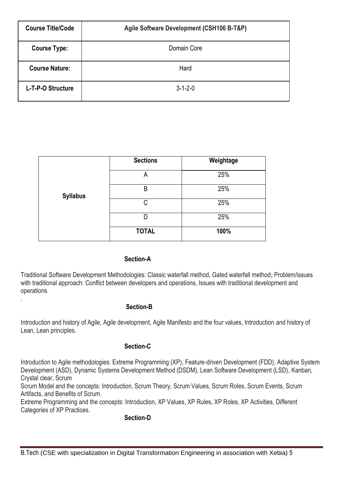| <b>Course Title/Code</b> | Agile Software Development (CSH106 B-T&P) |
|--------------------------|-------------------------------------------|
| <b>Course Type:</b>      | Domain Core                               |
| <b>Course Nature:</b>    | Hard                                      |
| L-T-P-O Structure        | $3 - 1 - 2 - 0$                           |

|                 | <b>Sections</b> | Weightage |
|-----------------|-----------------|-----------|
|                 | Α               | 25%       |
| <b>Syllabus</b> | B               | 25%       |
|                 | C               | 25%       |
|                 | D               | 25%       |
|                 | <b>TOTAL</b>    | 100%      |

#### **Section-A**

Traditional Software Development Methodologies: Classic waterfall method, Gated waterfall method; Problem/issues with traditional approach: Conflict between developers and operations, Issues with traditional development and operations

#### **Section-B**

.

Introduction and history of Agile, Agile development, Agile Manifesto and the four values, Introduction and history of Lean, Lean principles.

#### **Section-C**

Introduction to Agile methodologies: Extreme Programming (XP), Feature-driven Development (FDD), Adaptive System Development (ASD), Dynamic Systems Development Method (DSDM), Lean Software Development (LSD), Kanban, Crystal clear, Scrum

Scrum Model and the concepts: Introduction, Scrum Theory, Scrum Values, Scrum Roles, Scrum Events, Scrum Artifacts, and Benefits of Scrum.

Extreme Programming and the concepts: Introduction, XP Values, XP Rules, XP Roles, XP Activities, Different Categories of XP Practices.

#### **Section-D**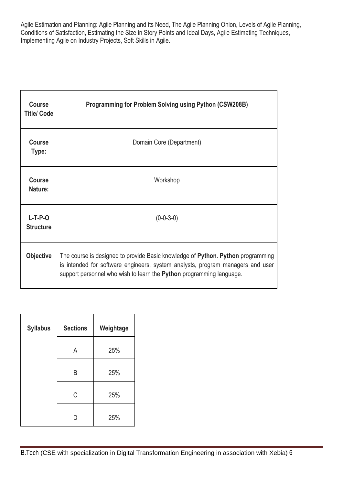Agile Estimation and Planning: Agile Planning and its Need, The Agile Planning Onion, Levels of Agile Planning, Conditions of Satisfaction, Estimating the Size in Story Points and Ideal Days, Agile Estimating Techniques, Implementing Agile on Industry Projects, Soft Skills in Agile.

| <b>Course</b><br><b>Title/ Code</b> | <b>Programming for Problem Solving using Python (CSW208B)</b>                                                                                                                                                                             |
|-------------------------------------|-------------------------------------------------------------------------------------------------------------------------------------------------------------------------------------------------------------------------------------------|
| <b>Course</b><br>Type:              | Domain Core (Department)                                                                                                                                                                                                                  |
| <b>Course</b><br>Nature:            | Workshop                                                                                                                                                                                                                                  |
| $L-T-P-O$<br><b>Structure</b>       | $(0-0-3-0)$                                                                                                                                                                                                                               |
| <b>Objective</b>                    | The course is designed to provide Basic knowledge of Python. Python programming<br>is intended for software engineers, system analysts, program managers and user<br>support personnel who wish to learn the Python programming language. |

| <b>Syllabus</b> | <b>Sections</b> | Weightage |
|-----------------|-----------------|-----------|
|                 | Α               | 25%       |
|                 | Β               | 25%       |
|                 | C               | 25%       |
|                 | ו ו             | 25%       |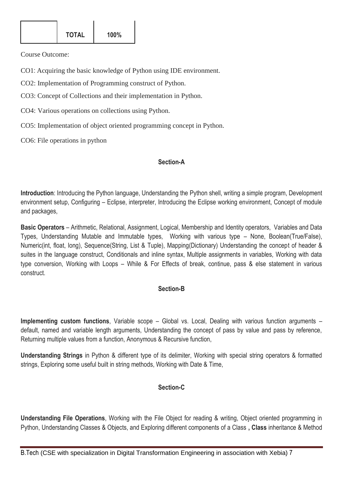| <b>TOTAL</b><br>100% |
|----------------------|
|----------------------|

Course Outcome:

CO1: Acquiring the basic knowledge of Python using IDE environment.

CO2: Implementation of Programming construct of Python.

CO3: Concept of Collections and their implementation in Python.

CO4: Various operations on collections using Python.

CO5: Implementation of object oriented programming concept in Python.

CO6: File operations in python

#### **Section-A**

**Introduction**: Introducing the Python language, Understanding the Python shell, writing a simple program, Development environment setup, Configuring – Eclipse, interpreter, Introducing the Eclipse working environment, Concept of module and packages,

**Basic Operators** – Arithmetic, Relational, Assignment, Logical, Membership and Identity operators, Variables and Data Types, Understanding Mutable and Immutable types, Working with various type – None, Boolean(True/False), Numeric(int, float, long), Sequence(String, List & Tuple), Mapping(Dictionary) Understanding the concept of header & suites in the language construct, Conditionals and inline syntax, Multiple assignments in variables, Working with data type conversion, Working with Loops – While & For Effects of break, continue, pass & else statement in various construct.

# **Section-B**

**Implementing custom functions**, Variable scope – Global vs. Local, Dealing with various function arguments – default, named and variable length arguments, Understanding the concept of pass by value and pass by reference, Returning multiple values from a function, Anonymous & Recursive function,

**Understanding Strings** in Python & different type of its delimiter, Working with special string operators & formatted strings, Exploring some useful built in string methods, Working with Date & Time,

# **Section-C**

**Understanding File Operations**, Working with the File Object for reading & writing, Object oriented programming in Python, Understanding Classes & Objects, and Exploring different components of a Class **, Class** inheritance & Method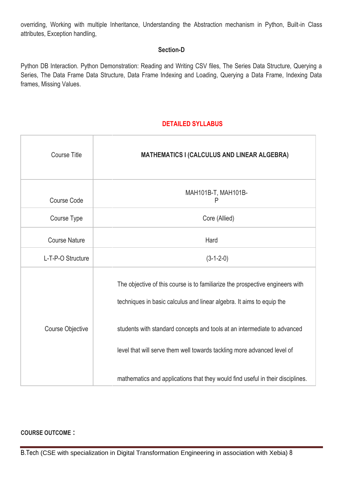overriding, Working with multiple Inheritance, Understanding the Abstraction mechanism in Python, Built-in Class attributes, Exception handling,

# **Section-D**

Python DB Interaction. Python Demonstration: Reading and Writing CSV files, The Series Data Structure, Querying a Series, The Data Frame Data Structure, Data Frame Indexing and Loading, Querying a Data Frame, Indexing Data frames, Missing Values.

# **DETAILED SYLLABUS**

| <b>Course Title</b>  | <b>MATHEMATICS I (CALCULUS AND LINEAR ALGEBRA)</b>                                                                                                                                                                                                                                                                                                                                              |
|----------------------|-------------------------------------------------------------------------------------------------------------------------------------------------------------------------------------------------------------------------------------------------------------------------------------------------------------------------------------------------------------------------------------------------|
| Course Code          | MAH101B-T, MAH101B-<br>P                                                                                                                                                                                                                                                                                                                                                                        |
| Course Type          | Core (Allied)                                                                                                                                                                                                                                                                                                                                                                                   |
| <b>Course Nature</b> | Hard                                                                                                                                                                                                                                                                                                                                                                                            |
| L-T-P-O Structure    | $(3-1-2-0)$                                                                                                                                                                                                                                                                                                                                                                                     |
| Course Objective     | The objective of this course is to familiarize the prospective engineers with<br>techniques in basic calculus and linear algebra. It aims to equip the<br>students with standard concepts and tools at an intermediate to advanced<br>level that will serve them well towards tackling more advanced level of<br>mathematics and applications that they would find useful in their disciplines. |

#### **COURSE OUTCOME :**

B.Tech (CSE with specialization in Digital Transformation Engineering in association with Xebia) 8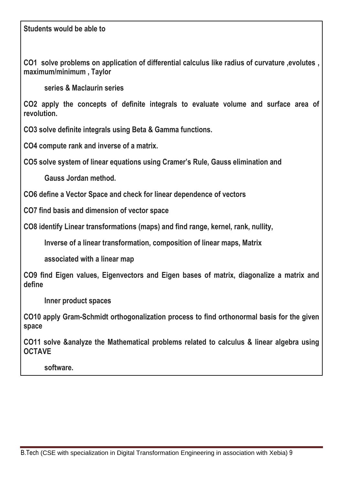# **Students would be able to**

**CO1 solve problems on application of differential calculus like radius of curvature ,evolutes , maximum/minimum , Taylor**

 **series & Maclaurin series**

**CO2 apply the concepts of definite integrals to evaluate volume and surface area of revolution.**

**CO3 solve definite integrals using Beta & Gamma functions.**

**CO4 compute rank and inverse of a matrix.**

**CO5 solve system of linear equations using Cramer's Rule, Gauss elimination and** 

 **Gauss Jordan method.**

**CO6 define a Vector Space and check for linear dependence of vectors**

**CO7 find basis and dimension of vector space**

**CO8 identify Linear transformations (maps) and find range, kernel, rank, nullity,**

 **Inverse of a linear transformation, composition of linear maps, Matrix**

 **associated with a linear map**

**CO9 find Eigen values, Eigenvectors and Eigen bases of matrix, diagonalize a matrix and define**

 **Inner product spaces**

**CO10 apply Gram-Schmidt orthogonalization process to find orthonormal basis for the given space**

**CO11 solve &analyze the Mathematical problems related to calculus & linear algebra using OCTAVE**

 **software.**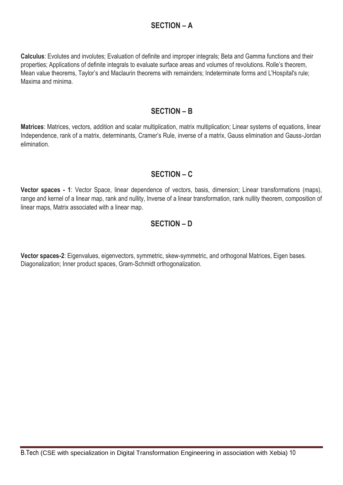# **SECTION – A**

**Calculus**: Evolutes and involutes; Evaluation of definite and improper integrals; Beta and Gamma functions and their properties; Applications of definite integrals to evaluate surface areas and volumes of revolutions. Rolle's theorem, Mean value theorems, Taylor's and Maclaurin theorems with remainders; Indeterminate forms and L'Hospital's rule; Maxima and minima.

# **SECTION – B**

**Matrices**: Matrices, vectors, addition and scalar multiplication, matrix multiplication; Linear systems of equations, linear Independence, rank of a matrix, determinants, Cramer's Rule, inverse of a matrix, Gauss elimination and Gauss-Jordan elimination.

# **SECTION – C**

**Vector spaces - 1**: Vector Space, linear dependence of vectors, basis, dimension; Linear transformations (maps), range and kernel of a linear map, rank and nullity, Inverse of a linear transformation, rank nullity theorem, composition of linear maps, Matrix associated with a linear map.

# **SECTION – D**

**Vector spaces-2**: Eigenvalues, eigenvectors, symmetric, skew-symmetric, and orthogonal Matrices, Eigen bases. Diagonalization; Inner product spaces, Gram-Schmidt orthogonalization.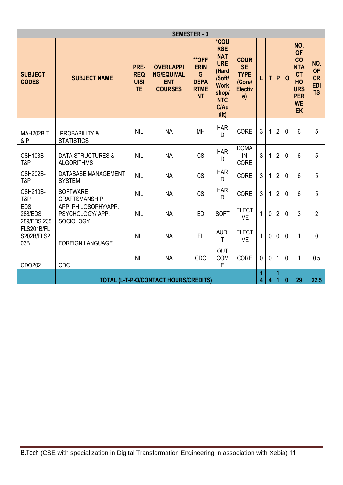| <b>SEMESTER - 3</b>                    |                                                                                  |                                                |                                                                       |                                                                             |                                                                                                                         |                                                                           |                |      |                |              |                                                                                                               |                                                          |
|----------------------------------------|----------------------------------------------------------------------------------|------------------------------------------------|-----------------------------------------------------------------------|-----------------------------------------------------------------------------|-------------------------------------------------------------------------------------------------------------------------|---------------------------------------------------------------------------|----------------|------|----------------|--------------|---------------------------------------------------------------------------------------------------------------|----------------------------------------------------------|
| <b>SUBJECT</b><br><b>CODES</b>         | <b>SUBJECT NAME</b>                                                              | PRE-<br><b>REQ</b><br><b>UISI</b><br><b>TE</b> | <b>OVERLAPPI</b><br><b>NG/EQUIVAL</b><br><b>ENT</b><br><b>COURSES</b> | <b>**OFF</b><br><b>ERIN</b><br>G<br><b>DEPA</b><br><b>RTME</b><br><b>NT</b> | *COU<br><b>RSE</b><br><b>NAT</b><br><b>URE</b><br>(Hard<br>/Soft/<br><b>Work</b><br>shop/<br><b>NTC</b><br>C/Au<br>dit) | <b>COUR</b><br><b>SE</b><br><b>TYPE</b><br>(Core/<br><b>Electiv</b><br>e) | Г              | T    | P              | $\mathbf 0$  | NO.<br><b>OF</b><br>CO<br><b>NTA</b><br><b>CT</b><br>HO<br><b>URS</b><br><b>PER</b><br><b>WE</b><br><b>EK</b> | NO.<br><b>OF</b><br><b>CR</b><br><b>EDI</b><br><b>TS</b> |
| <b>MAH202B-T</b><br>&P                 | <b>PROBABILITY &amp;</b><br><b>STATISTICS</b>                                    | <b>NIL</b>                                     | <b>NA</b>                                                             | MH                                                                          | <b>HAR</b><br>D                                                                                                         | <b>CORE</b>                                                               | 3              | 1    | $\overline{2}$ | $\mathbf 0$  | 6                                                                                                             | 5                                                        |
| CSH103B-<br>T&P                        | <b>DATA STRUCTURES &amp;</b><br><b>ALGORITHMS</b>                                | <b>NIL</b>                                     | <b>NA</b>                                                             | <b>CS</b>                                                                   | <b>HAR</b><br>D                                                                                                         | <b>DOMA</b><br>IN<br>CORE                                                 | $\mathfrak{Z}$ | 1    | $\overline{2}$ | $\mathbf 0$  | 6                                                                                                             | 5                                                        |
| <b>CSH202B-</b><br>T&P                 | DATABASE MANAGEMENT<br><b>SYSTEM</b>                                             | <b>NIL</b>                                     | <b>NA</b>                                                             | <b>CS</b>                                                                   | <b>HAR</b><br>D                                                                                                         | <b>CORE</b>                                                               | $\mathfrak{Z}$ | 1    | $\overline{2}$ | 0            | 6                                                                                                             | 5                                                        |
| <b>CSH210B-</b><br>T&P                 | <b>SOFTWARE</b><br>CRAFTSMANSHIP                                                 | <b>NIL</b>                                     | <b>NA</b>                                                             | <b>CS</b>                                                                   | <b>HAR</b><br>D                                                                                                         | <b>CORE</b>                                                               | 3              | 1    | $\overline{2}$ | $\mathbf 0$  | 6                                                                                                             | 5                                                        |
| <b>EDS</b><br>288/EDS<br>289/EDS 235   | APP. PHILOSOPHY/APP.<br>PSYCHOLOGY/APP.<br><b>SOCIOLOGY</b>                      | <b>NIL</b>                                     | <b>NA</b>                                                             | <b>ED</b>                                                                   | <b>SOFT</b>                                                                                                             | <b>ELECT</b><br><b>IVE</b>                                                | $\mathbf{1}$   | 0    | $\overline{2}$ | $\mathbf{0}$ | $\mathbf{3}$                                                                                                  | $\overline{2}$                                           |
| FLS201B/FL<br><b>S202B/FLS2</b><br>03B | <b>FOREIGN LANGUAGE</b>                                                          | <b>NIL</b>                                     | <b>NA</b>                                                             | FL.                                                                         | <b>AUDI</b><br>T                                                                                                        | <b>ELECT</b><br><b>IVE</b>                                                | 1              | 0    | $\mathbf{0}$   | 0            | 1                                                                                                             | $\mathbf{0}$                                             |
| CDO202                                 | CDC                                                                              | <b>NIL</b>                                     | <b>NA</b>                                                             | CDC                                                                         | <b>OUT</b><br>COM<br>E                                                                                                  | <b>CORE</b>                                                               | $\mathbf{0}$   | 0    | 1              | $\mathbf{0}$ | 1                                                                                                             | 0.5                                                      |
|                                        | 1<br>1<br>4<br>29<br>TOTAL (L-T-P-O/CONTACT HOURS/CREDITS)<br>4<br>$\bf{0}$<br>1 |                                                |                                                                       |                                                                             |                                                                                                                         |                                                                           |                | 22.5 |                |              |                                                                                                               |                                                          |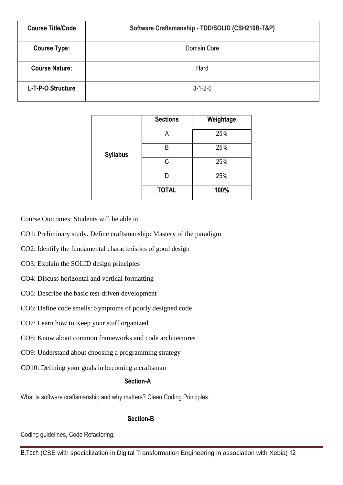| <b>Course Title/Code</b> | Software Craftsmanship - TDD/SOLID (CSH210B-T&P) |
|--------------------------|--------------------------------------------------|
| <b>Course Type:</b>      | Domain Core                                      |
| <b>Course Nature:</b>    | Hard                                             |
| L-T-P-O Structure        | $3 - 1 - 2 - 0$                                  |

|                 | <b>Sections</b> | Weightage |
|-----------------|-----------------|-----------|
|                 | А               | 25%       |
| <b>Syllabus</b> | B               | 25%       |
|                 | C               | 25%       |
|                 |                 | 25%       |
|                 | <b>TOTAL</b>    | 100%      |

Course Outcomes: Students will be able to

CO1: Preliminary study. Define craftsmanship: Mastery of the paradigm

CO2: Identify the fundamental characteristics of good design

CO3: Explain the SOLID design principles

CO4: Discuss horizontal and vertical formatting

- CO5: Describe the basic test-driven development
- CO6: Define code smells: Symptoms of poorly designed code
- CO7: Learn how to Keep your stuff organized
- CO8: Know about common frameworks and code architectures

CO9: Understand about choosing a programming strategy

CO10: Defining your goals in becoming a craftsman

#### **Section-A**

What is software craftsmanship and why matters? Clean Coding Principles.

#### **Section-B**

Coding guidelines, Code Refactoring.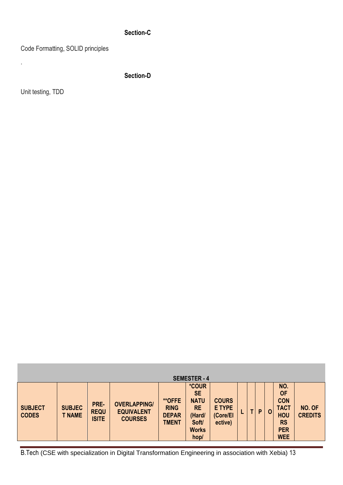# **Section-C**

Code Formatting, SOLID principles

**Section-D**

Unit testing, TDD

.

|                                | <b>SEMESTER - 4</b>            |                                     |                                                            |                                                              |                                                                                                         |                                                      |  |  |   |             |                                                                                                      |                          |
|--------------------------------|--------------------------------|-------------------------------------|------------------------------------------------------------|--------------------------------------------------------------|---------------------------------------------------------------------------------------------------------|------------------------------------------------------|--|--|---|-------------|------------------------------------------------------------------------------------------------------|--------------------------|
| <b>SUBJECT</b><br><b>CODES</b> | <b>SUBJEC</b><br><b>T NAME</b> | PRE-<br><b>REQU</b><br><b>ISITE</b> | <b>OVERLAPPING/</b><br><b>EQUIVALENT</b><br><b>COURSES</b> | <b>**OFFE</b><br><b>RING</b><br><b>DEPAR</b><br><b>TMENT</b> | <i><b>*COUR</b></i><br><b>SE</b><br><b>NATU</b><br><b>RE</b><br>(Hard/<br>Soft/<br><b>Works</b><br>hop/ | <b>COURS</b><br><b>E TYPE</b><br>(Core/El<br>ective) |  |  | P | $\mathbf 0$ | NO.<br><b>OF</b><br><b>CON</b><br><b>TACT</b><br><b>HOU</b><br><b>RS</b><br><b>PER</b><br><b>WEE</b> | NO. OF<br><b>CREDITS</b> |

B.Tech (CSE with specialization in Digital Transformation Engineering in association with Xebia) 13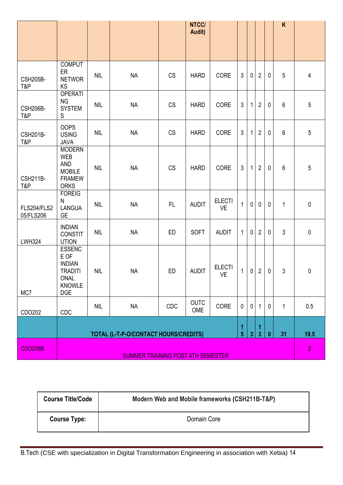|                          |                                                                                                                |            |           |           | NTCC/<br>Audit)    |                            |                |              |                |             | K              |                |
|--------------------------|----------------------------------------------------------------------------------------------------------------|------------|-----------|-----------|--------------------|----------------------------|----------------|--------------|----------------|-------------|----------------|----------------|
|                          |                                                                                                                |            |           |           |                    |                            |                |              |                |             |                |                |
|                          |                                                                                                                |            |           |           |                    |                            |                |              |                |             |                |                |
| <b>CSH205B-</b><br>T&P   | <b>COMPUT</b><br>ER<br><b>NETWOR</b><br>KS                                                                     | <b>NIL</b> | <b>NA</b> | CS        | <b>HARD</b>        | CORE                       | 3              | $\mathbf 0$  | $\overline{2}$ | $\mathbf 0$ | 5              | $\overline{4}$ |
| <b>CSH206B-</b><br>T&P   | <b>OPERATI</b><br><b>NG</b><br><b>SYSTEM</b><br>${\mathsf S}$                                                  | <b>NIL</b> | <b>NA</b> | <b>CS</b> | <b>HARD</b>        | CORE                       | $\mathfrak{Z}$ | $\mathbf{1}$ | $\overline{2}$ | $\mathbf 0$ | 6              | $\overline{5}$ |
| <b>CSH201B-</b><br>T&P   | <b>OOPS</b><br><b>USING</b><br><b>JAVA</b>                                                                     | <b>NIL</b> | <b>NA</b> | CS        | <b>HARD</b>        | CORE                       | $\mathfrak{Z}$ | $\mathbf{1}$ | $\overline{2}$ | $\mathbf 0$ | 6              | $\overline{5}$ |
| <b>CSH211B-</b><br>T&P   | <b>MODERN</b><br><b>WEB</b><br><b>AND</b><br><b>MOBILE</b><br><b>FRAMEW</b><br><b>ORKS</b>                     | <b>NIL</b> | <b>NA</b> | <b>CS</b> | <b>HARD</b>        | CORE                       | 3              | 1            | $\overline{2}$ | 0           | 6              | 5              |
| FLS204/FLS2<br>05/FLS206 | <b>FOREIG</b><br>N<br><b>LANGUA</b><br><b>GE</b>                                                               | <b>NIL</b> | <b>NA</b> | FL        | <b>AUDIT</b>       | <b>ELECTI</b><br><b>VE</b> | $\mathbf{1}$   | $\mathbf{0}$ | $\mathbf 0$    | $\mathbf 0$ | $\mathbf 1$    | $\mathbf 0$    |
| <b>LWH324</b>            | <b>INDIAN</b><br><b>CONSTIT</b><br><b>UTION</b>                                                                | <b>NIL</b> | <b>NA</b> | <b>ED</b> | <b>SOFT</b>        | <b>AUDIT</b>               | $\mathbf{1}$   | 0            | $\overline{2}$ | 0           | 3              | $\mathbf 0$    |
| MC7                      | <b>ESSENC</b><br>E OF<br><b>INDIAN</b><br><b>TRADITI</b><br>ONAL<br><b>KNOWLE</b><br><b>DGE</b>                | <b>NIL</b> | <b>NA</b> | <b>ED</b> | <b>AUDIT</b>       | <b>ELECTI</b><br><b>VE</b> | $\mathbf{1}$   | $\mathbf 0$  | $\mathbf{2}$   | $\mathbf 0$ | 3              | $\mathbf 0$    |
| CDO202                   | CDC                                                                                                            | <b>NIL</b> | <b>NA</b> | CDC       | <b>OUTC</b><br>OME | CORE                       | $\mathbf 0$    | $\mathbf 0$  | $\mathbf{1}$   | $\mathbf 0$ | $\mathbf{1}$   | 0.5            |
|                          | 1<br>1<br>5 <sup>5</sup><br>3<br>31<br>TOTAL (L-T-P-O/CONTACT HOURS/CREDITS)<br>3 <sup>5</sup><br>$\mathbf{0}$ |            |           |           |                    |                            |                |              |                |             | 19.5           |                |
| <b>CSO209B</b>           | <b>SUMMER TRAINING POST 4TH SEMESTER</b>                                                                       |            |           |           |                    |                            |                |              |                |             | $\overline{2}$ |                |

| <b>Course Title/Code</b> | Modern Web and Mobile frameworks (CSH211B-T&P) |
|--------------------------|------------------------------------------------|
| <b>Course Type:</b>      | Domain Core                                    |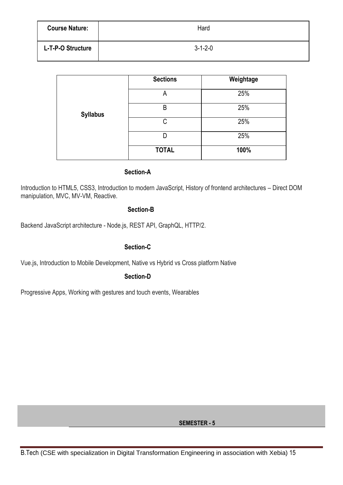| <b>Course Nature:</b> | Hard            |
|-----------------------|-----------------|
| L-T-P-O Structure     | $3 - 1 - 2 - 0$ |

|                 | <b>Sections</b> | Weightage |
|-----------------|-----------------|-----------|
|                 | A               | 25%       |
| <b>Syllabus</b> | B               | 25%       |
|                 | C               | 25%       |
|                 | D               | 25%       |
|                 | <b>TOTAL</b>    | 100%      |

#### **Section-A**

Introduction to HTML5, CSS3, Introduction to modern JavaScript, History of frontend architectures – Direct DOM manipulation, MVC, MV-VM, Reactive.

#### **Section-B**

Backend JavaScript architecture - Node.js, REST API, GraphQL, HTTP/2.

### **Section-C**

Vue.js, Introduction to Mobile Development, Native vs Hybrid vs Cross platform Native

### **Section-D**

Progressive Apps, Working with gestures and touch events, Wearables

**SEMESTER - 5**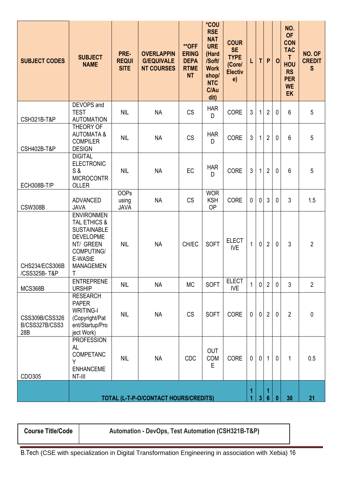| <b>SUBJECT CODES</b>                    | <b>SUBJECT</b><br><b>NAME</b>                                                                                                              | PRE-<br><b>REQUI</b><br><b>SITE</b> | <b>OVERLAPPIN</b><br><b>G/EQUIVALE</b><br><b>NT COURSES</b> | <b>**OFF</b><br><b>ERING</b><br><b>DEPA</b><br><b>RTME</b><br><b>NT</b> | *COU<br><b>RSE</b><br><b>NAT</b><br><b>URE</b><br>(Hard<br>/Soft/<br><b>Work</b><br>shop/<br><b>NTC</b><br>C/Au<br>dit) | <b>COUR</b><br><b>SE</b><br><b>TYPE</b><br>(Core/<br><b>Electiv</b><br>e) |              | T.           | P                   | $\mathbf 0$  | NO.<br><b>OF</b><br><b>CON</b><br><b>TAC</b><br>$\mathsf{T}$<br><b>HOU</b><br><b>RS</b><br><b>PER</b><br><b>WE</b><br><b>EK</b> | NO. OF<br><b>CREDIT</b><br>S |
|-----------------------------------------|--------------------------------------------------------------------------------------------------------------------------------------------|-------------------------------------|-------------------------------------------------------------|-------------------------------------------------------------------------|-------------------------------------------------------------------------------------------------------------------------|---------------------------------------------------------------------------|--------------|--------------|---------------------|--------------|---------------------------------------------------------------------------------------------------------------------------------|------------------------------|
| CSH321B-T&P                             | DEVOPS and<br><b>TEST</b><br><b>AUTOMATION</b>                                                                                             | <b>NIL</b>                          | <b>NA</b>                                                   | <b>CS</b>                                                               | <b>HAR</b><br>D                                                                                                         | <b>CORE</b>                                                               | 3            | 1            | $\overline{2}$      | $\mathbf 0$  | 6                                                                                                                               | 5                            |
| <b>CSH402B-T&amp;P</b>                  | THEORY OF<br><b>AUTOMATA &amp;</b><br><b>COMPILER</b><br><b>DESIGN</b>                                                                     | <b>NIL</b>                          | <b>NA</b>                                                   | <b>CS</b>                                                               | <b>HAR</b><br>D                                                                                                         | CORE                                                                      | 3            | $\mathbf{1}$ | $\overline{2}$      | $\mathbf{0}$ | 6                                                                                                                               | 5                            |
| ECH308B-T/P                             | <b>DIGITAL</b><br><b>ELECTRONIC</b><br>S &<br><b>MICROCONTR</b><br>OLLER                                                                   | <b>NIL</b>                          | <b>NA</b>                                                   | EC                                                                      | <b>HAR</b><br>D                                                                                                         | CORE                                                                      | 3            | 1            | $\overline{2}$      | $\mathbf 0$  | 6                                                                                                                               | 5                            |
| <b>CSW308B</b>                          | <b>ADVANCED</b><br><b>JAVA</b>                                                                                                             | <b>OOPs</b><br>using<br><b>JAVA</b> | <b>NA</b>                                                   | <b>CS</b>                                                               | <b>WOR</b><br><b>KSH</b><br><b>OP</b>                                                                                   | CORE                                                                      | 0            | 0            | 3                   | $\mathbf 0$  | 3                                                                                                                               | 1.5                          |
| CHS234/ECS306B<br>/CSS325B-T&P          | <b>ENVIRONMEN</b><br>TAL ETHICS &<br><b>SUSTAINABLE</b><br><b>DEVELOPME</b><br>NT/ GREEN<br>COMPUTING/<br>E-WAStE<br><b>MANAGEMEN</b><br>Τ | <b>NIL</b>                          | <b>NA</b>                                                   | CH/EC                                                                   | <b>SOFT</b>                                                                                                             | <b>ELECT</b><br><b>IVE</b>                                                | $\mathbf{1}$ | $\mathbf{0}$ | $\overline{2}$      | $\mathbf 0$  | 3                                                                                                                               | $\overline{2}$               |
| MCS368B                                 | <b>ENTREPRENE</b><br><b>URSHIP</b>                                                                                                         | <b>NIL</b>                          | <b>NA</b>                                                   | <b>MC</b>                                                               | <b>SOFT</b>                                                                                                             | <b>ELECT</b><br><b>IVE</b>                                                | $\mathbf{1}$ | $\mathbf 0$  | $\overline{2}$      | $\mathbf 0$  | 3                                                                                                                               | $\overline{2}$               |
| CSS309B/CSS326<br>B/CSS327B/CSS3<br>28B | <b>RESEARCH</b><br><b>PAPER</b><br><b>WRITING-I</b><br>(Copyright/Pat<br>ent/Startup/Pro<br>ject Work)                                     | <b>NIL</b>                          | <b>NA</b>                                                   | <b>CS</b>                                                               | <b>SOFT</b>                                                                                                             | CORE                                                                      | 0            | $\mathbf{0}$ | $\overline{2}$      | $\mathbf{0}$ | $\overline{2}$                                                                                                                  | $\mathbf 0$                  |
| CDO305                                  | <b>PROFESSION</b><br>AL<br><b>COMPETANC</b><br>Y<br><b>ENHANCEME</b><br>NT-III                                                             | <b>NIL</b>                          | <b>NA</b>                                                   | CDC                                                                     | OUT<br>COM<br>E                                                                                                         | CORE                                                                      | $\mathbf 0$  | $\mathbf 0$  | 1                   | $\mathbf 0$  | $\mathbf{1}$                                                                                                                    | 0.5                          |
|                                         | TOTAL (L-T-P-O/CONTACT HOURS/CREDITS)                                                                                                      |                                     |                                                             |                                                                         |                                                                                                                         |                                                                           |              | $\mathbf{3}$ | 1<br>$6\phantom{1}$ | $\bf{0}$     | 30                                                                                                                              | 21                           |

**Course Title/Code Automation - DevOps, Test Automation (CSH321B-T&P)**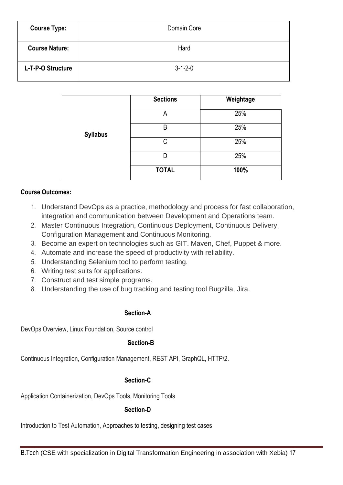| <b>Course Type:</b>   | Domain Core     |
|-----------------------|-----------------|
| <b>Course Nature:</b> | Hard            |
| L-T-P-O Structure     | $3 - 1 - 2 - 0$ |

|                 | <b>Sections</b> | Weightage |
|-----------------|-----------------|-----------|
|                 | А               | 25%       |
| <b>Syllabus</b> | B               | 25%       |
|                 | C               | 25%       |
|                 | D               | 25%       |
|                 | <b>TOTAL</b>    | 100%      |

## **Course Outcomes:**

- 1. Understand DevOps as a practice, methodology and process for fast collaboration, integration and communication between Development and Operations team.
- 2. Master Continuous Integration, Continuous Deployment, Continuous Delivery, Configuration Management and Continuous Monitoring.
- 3. Become an expert on technologies such as GIT. Maven, Chef, Puppet & more.
- 4. Automate and increase the speed of productivity with reliability.
- 5. Understanding Selenium tool to perform testing.
- 6. Writing test suits for applications.
- 7. Construct and test simple programs.
- 8. Understanding the use of bug tracking and testing tool Bugzilla, Jira.

# **Section-A**

DevOps Overview, Linux Foundation, Source control

# **Section-B**

Continuous Integration, Configuration Management, REST API, GraphQL, HTTP/2.

# **Section-C**

Application Containerization, DevOps Tools, Monitoring Tools

# **Section-D**

Introduction to Test Automation, Approaches to testing, designing test cases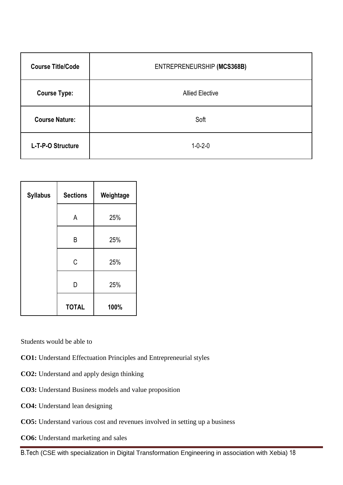| <b>Course Title/Code</b> | ENTREPRENEURSHIP (MCS368B) |
|--------------------------|----------------------------|
| <b>Course Type:</b>      | <b>Allied Elective</b>     |
| <b>Course Nature:</b>    | Soft                       |
| L-T-P-O Structure        | $1 - 0 - 2 - 0$            |

| <b>Syllabus</b> | <b>Sections</b> | Weightage |
|-----------------|-----------------|-----------|
|                 | A               | 25%       |
|                 | B               | 25%       |
|                 | C               | 25%       |
|                 | D               | 25%       |
|                 | <b>TOTAL</b>    | 100%      |

Students would be able to

- **CO1:** Understand Effectuation Principles and Entrepreneurial styles
- **CO2:** Understand and apply design thinking
- **CO3:** Understand Business models and value proposition
- **CO4:** Understand lean designing
- **CO5:** Understand various cost and revenues involved in setting up a business
- **CO6:** Understand marketing and sales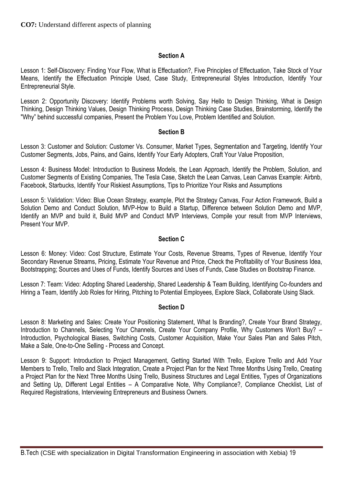# **Section A**

Lesson 1: Self-Discovery: Finding Your Flow, What is Effectuation?, Five Principles of Effectuation, Take Stock of Your Means, Identify the Effectuation Principle Used, Case Study, Entrepreneurial Styles Introduction, Identify Your Entrepreneurial Style.

Lesson 2: Opportunity Discovery: Identify Problems worth Solving, Say Hello to Design Thinking, What is Design Thinking, Design Thinking Values, Design Thinking Process, Design Thinking Case Studies, Brainstorming, Identify the "Why" behind successful companies, Present the Problem You Love, Problem Identified and Solution.

#### **Section B**

Lesson 3: Customer and Solution: Customer Vs. Consumer, Market Types, Segmentation and Targeting, Identify Your Customer Segments, Jobs, Pains, and Gains, Identify Your Early Adopters, Craft Your Value Proposition,

Lesson 4: Business Model: Introduction to Business Models, the Lean Approach, Identify the Problem, Solution, and Customer Segments of Existing Companies, The Tesla Case, Sketch the Lean Canvas, Lean Canvas Example: Airbnb, Facebook, Starbucks, Identify Your Riskiest Assumptions, Tips to Prioritize Your Risks and Assumptions

Lesson 5: Validation: Video: Blue Ocean Strategy, example, Plot the Strategy Canvas, Four Action Framework, Build a Solution Demo and Conduct Solution, MVP-How to Build a Startup, Difference between Solution Demo and MVP, Identify an MVP and build it, Build MVP and Conduct MVP Interviews, Compile your result from MVP Interviews, Present Your MVP.

#### **Section C**

Lesson 6: Money: Video: Cost Structure, Estimate Your Costs, Revenue Streams, Types of Revenue, Identify Your Secondary Revenue Streams, Pricing, Estimate Your Revenue and Price, Check the Profitability of Your Business Idea, Bootstrapping; Sources and Uses of Funds, Identify Sources and Uses of Funds, Case Studies on Bootstrap Finance.

Lesson 7: Team: Video: Adopting Shared Leadership, Shared Leadership & Team Building, Identifying Co-founders and Hiring a Team, Identify Job Roles for Hiring, Pitching to Potential Employees, Explore Slack, Collaborate Using Slack.

#### **Section D**

Lesson 8: Marketing and Sales: Create Your Positioning Statement, What Is Branding?, Create Your Brand Strategy, Introduction to Channels, Selecting Your Channels, Create Your Company Profile, Why Customers Won't Buy? – Introduction, Psychological Biases, Switching Costs, Customer Acquisition, Make Your Sales Plan and Sales Pitch, Make a Sale, One-to-One Selling - Process and Concept.

Lesson 9: Support: Introduction to Project Management, Getting Started With Trello, Explore Trello and Add Your Members to Trello, Trello and Slack Integration, Create a Project Plan for the Next Three Months Using Trello, Creating a Project Plan for the Next Three Months Using Trello, Business Structures and Legal Entities, Types of Organizations and Setting Up, Different Legal Entities – A Comparative Note, Why Compliance?, Compliance Checklist, List of Required Registrations, Interviewing Entrepreneurs and Business Owners.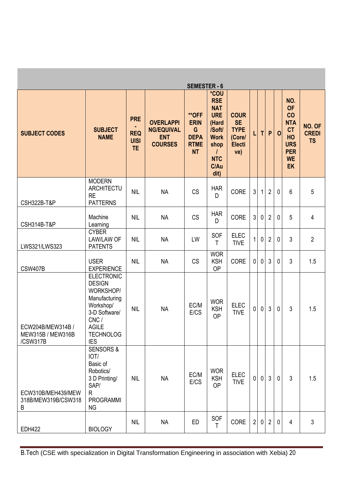|                                                    |                                                                                                                                                          |                                                      |                                                                       | <b>SEMESTER - 6</b>                                                         |                                                                                                                               |                                                                           |                |             |                |              |                                                                                                        |                                     |
|----------------------------------------------------|----------------------------------------------------------------------------------------------------------------------------------------------------------|------------------------------------------------------|-----------------------------------------------------------------------|-----------------------------------------------------------------------------|-------------------------------------------------------------------------------------------------------------------------------|---------------------------------------------------------------------------|----------------|-------------|----------------|--------------|--------------------------------------------------------------------------------------------------------|-------------------------------------|
| <b>SUBJECT CODES</b>                               | <b>SUBJECT</b><br><b>NAME</b>                                                                                                                            | <b>PRE</b><br><b>REQ</b><br><b>UISI</b><br><b>TE</b> | <b>OVERLAPPI</b><br><b>NG/EQUIVAL</b><br><b>ENT</b><br><b>COURSES</b> | <b>**OFF</b><br><b>ERIN</b><br>G<br><b>DEPA</b><br><b>RTME</b><br><b>NT</b> | *COU<br><b>RSE</b><br><b>NAT</b><br><b>URE</b><br>(Hard<br>/Soft/<br><b>Work</b><br>shop<br><b>NTC</b><br><b>C/Au</b><br>dit) | <b>COUR</b><br><b>SE</b><br><b>TYPE</b><br>(Core/<br><b>Electi</b><br>ve) | L              | T           | P              | $\mathbf 0$  | NO.<br><b>OF</b><br>CO<br><b>NTA</b><br>CT<br>HO<br><b>URS</b><br><b>PER</b><br><b>WE</b><br><b>EK</b> | NO. OF<br><b>CREDI</b><br><b>TS</b> |
| <b>CSH322B-T&amp;P</b>                             | <b>MODERN</b><br>ARCHITECTU<br><b>RE</b><br><b>PATTERNS</b>                                                                                              | <b>NIL</b>                                           | <b>NA</b>                                                             | <b>CS</b>                                                                   | <b>HAR</b><br>D                                                                                                               | CORE                                                                      | $\mathfrak{S}$ | 1           | $\overline{2}$ | $\mathbf 0$  | 6                                                                                                      | 5                                   |
| <b>CSH314B-T&amp;P</b>                             | Machine<br>Learning                                                                                                                                      | <b>NIL</b>                                           | <b>NA</b>                                                             | <b>CS</b>                                                                   | <b>HAR</b><br>D                                                                                                               | CORE                                                                      | $\mathfrak{Z}$ | $\mathbf 0$ | $\overline{2}$ | $\mathbf 0$  | 5                                                                                                      | $\overline{4}$                      |
| LWS321/LWS323                                      | <b>CYBER</b><br><b>LAW/LAW OF</b><br><b>PATENTS</b>                                                                                                      | <b>NIL</b>                                           | <b>NA</b>                                                             | LW                                                                          | SOF<br>Τ                                                                                                                      | <b>ELEC</b><br><b>TIVE</b>                                                | 1              | $\mathbf 0$ | $\overline{2}$ | $\mathbf 0$  | 3                                                                                                      | $\overline{2}$                      |
| <b>CSW407B</b>                                     | <b>USER</b><br><b>EXPERIENCE</b>                                                                                                                         | <b>NIL</b>                                           | <b>NA</b>                                                             | <b>CS</b>                                                                   | <b>WOR</b><br><b>KSH</b><br><b>OP</b>                                                                                         | CORE                                                                      | $\mathbf 0$    | $\mathbf 0$ | 3              | $\mathbf{0}$ | $\mathfrak{Z}$                                                                                         | 1.5                                 |
| ECW204B/MEW314B /<br>MEW315B / MEW316B<br>/CSW317B | <b>ELECTRONIC</b><br><b>DESIGN</b><br>WORKSHOP/<br>Manufacturing<br>Workshop/<br>3-D Software/<br>CNC/<br><b>AGILE</b><br><b>TECHNOLOG</b><br><b>IES</b> | <b>NIL</b>                                           | <b>NA</b>                                                             | EC/M<br>E/CS                                                                | <b>WOR</b><br><b>KSH</b><br><b>OP</b>                                                                                         | <b>ELEC</b><br><b>TIVE</b>                                                | $\mathbf 0$    | $\mathbf 0$ | 3              | $\mathbf{0}$ | $\mathfrak{Z}$                                                                                         | 1.5                                 |
| ECW310B/MEH439/MEW<br>318B/MEW319B/CSW318<br>B     | <b>SENSORS &amp;</b><br>IOT/<br>Basic of<br>Robotics/<br>3 D Printing/<br>SAP/<br>$\mathsf R$<br><b>PROGRAMMI</b><br><b>NG</b>                           | <b>NIL</b>                                           | <b>NA</b>                                                             | EC/M<br>E/CS                                                                | <b>WOR</b><br><b>KSH</b><br><b>OP</b>                                                                                         | <b>ELEC</b><br><b>TIVE</b>                                                | $\mathbf 0$    | $\mathbf 0$ | $\mathfrak{Z}$ | $\mathbf{0}$ | $\mathfrak{Z}$                                                                                         | 1.5                                 |
| <b>EDH422</b>                                      | <b>BIOLOGY</b>                                                                                                                                           | <b>NIL</b>                                           | <b>NA</b>                                                             | ED                                                                          | SOF<br>$\mathsf{T}$                                                                                                           | CORE                                                                      | $\overline{2}$ | $\mathbf 0$ | $\overline{2}$ | 0            | 4                                                                                                      | $\mathfrak{Z}$                      |

B.Tech (CSE with specialization in Digital Transformation Engineering in association with Xebia) 20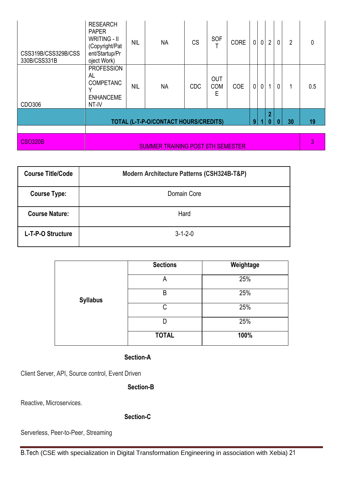| <b>RESEARCH</b><br><b>PAPER</b><br><b>WRITING - II</b><br>(Copyright/Pat<br>ent/Startup/Pr<br>oject Work) | <b>NIL</b> | <b>NA</b> | <b>CS</b>  | SOF                           | <b>CORE</b> | $\mathbf 0$                              |  | $\overline{2}$ | 0                                | $\overline{2}$ | $\mathbf 0$ |
|-----------------------------------------------------------------------------------------------------------|------------|-----------|------------|-------------------------------|-------------|------------------------------------------|--|----------------|----------------------------------|----------------|-------------|
| <b>PROFESSION</b><br>AL<br><b>COMPETANC</b><br>v<br><b>ENHANCEME</b><br>NT-IV                             | <b>NIL</b> | <b>NA</b> | <b>CDC</b> | <b>OUT</b><br><b>COM</b><br>E | <b>COE</b>  | $\mathbf 0$                              |  | 1              | 0                                | 1              | 0.5         |
| $\overline{2}$<br>9<br>30<br>TOTAL (L-T-P-O/CONTACT HOURS/CREDITS)<br>$\bf{0}$<br>0                       |            |           |            |                               |             |                                          |  |                | 19                               |                |             |
|                                                                                                           |            |           |            |                               |             |                                          |  |                | 3                                |                |             |
|                                                                                                           |            |           |            |                               |             | <b>SUMMER TRAINING POST 6TH SEMESTER</b> |  |                | $\overline{0}$<br>$\overline{0}$ |                |             |

| <b>Course Title/Code</b> | Modern Architecture Patterns (CSH324B-T&P) |
|--------------------------|--------------------------------------------|
| <b>Course Type:</b>      | Domain Core                                |
| <b>Course Nature:</b>    | Hard                                       |
| L-T-P-O Structure        | $3 - 1 - 2 - 0$                            |

|                 | <b>Sections</b> | Weightage |
|-----------------|-----------------|-----------|
|                 | A               | 25%       |
| <b>Syllabus</b> | B               | 25%       |
|                 | C               | 25%       |
|                 | D               | 25%       |
|                 | <b>TOTAL</b>    | 100%      |

## **Section-A**

Client Server, API, Source control, Event Driven

 **Section-B**

Reactive, Microservices.

**Section-C**

Serverless, Peer-to-Peer, Streaming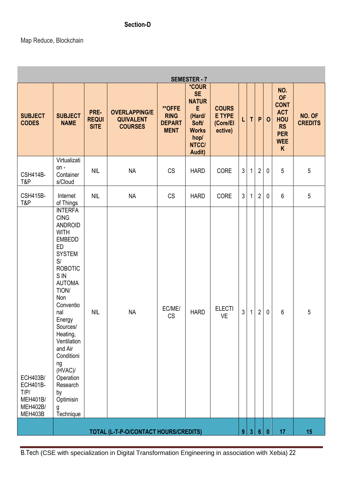# **Section-D**

# Map Reduce, Blockchain

| <b>SEMESTER - 7</b>                                                                  |                                                                                                                                                                                                                                                                                                                                                      |                                     |                                                            |                                                              |                                                                                                                     |                                                      |                |              |                |                  |                                                                                                           |                          |
|--------------------------------------------------------------------------------------|------------------------------------------------------------------------------------------------------------------------------------------------------------------------------------------------------------------------------------------------------------------------------------------------------------------------------------------------------|-------------------------------------|------------------------------------------------------------|--------------------------------------------------------------|---------------------------------------------------------------------------------------------------------------------|------------------------------------------------------|----------------|--------------|----------------|------------------|-----------------------------------------------------------------------------------------------------------|--------------------------|
| <b>SUBJECT</b><br><b>CODES</b>                                                       | <b>SUBJECT</b><br><b>NAME</b>                                                                                                                                                                                                                                                                                                                        | PRE-<br><b>REQUI</b><br><b>SITE</b> | <b>OVERLAPPING/E</b><br><b>QUIVALENT</b><br><b>COURSES</b> | <b>**OFFE</b><br><b>RING</b><br><b>DEPART</b><br><b>MENT</b> | <i><b>*COUR</b></i><br><b>SE</b><br><b>NATUR</b><br>E<br>(Hard/<br>Soft/<br><b>Works</b><br>hop/<br>NTCC/<br>Audit) | <b>COURS</b><br><b>E TYPE</b><br>(Core/El<br>ective) | L              | T            | P              | $\mathbf{o}$     | NO.<br><b>OF</b><br><b>CONT</b><br><b>ACT</b><br><b>HOU</b><br><b>RS</b><br><b>PER</b><br><b>WEE</b><br>K | NO. OF<br><b>CREDITS</b> |
| <b>CSH414B-</b><br>T&P                                                               | Virtualizati<br>$on -$<br>Container<br>s/Cloud                                                                                                                                                                                                                                                                                                       | <b>NIL</b>                          | <b>NA</b>                                                  | <b>CS</b>                                                    | <b>HARD</b>                                                                                                         | CORE                                                 | $\mathfrak{Z}$ | $\mathbf{1}$ | $\overline{2}$ | 0                | 5                                                                                                         | 5                        |
| <b>CSH415B-</b><br>T&P                                                               | Internet<br>of Things                                                                                                                                                                                                                                                                                                                                | <b>NIL</b>                          | <b>NA</b>                                                  | <b>CS</b>                                                    | <b>HARD</b>                                                                                                         | CORE                                                 | $\mathfrak{Z}$ | $\mathbf{1}$ | $\overline{2}$ | $\mathbf 0$      | 6                                                                                                         | 5                        |
| <b>ECH403B/</b><br><b>ECH401B-</b><br>T/P/<br><b>MEH401B/</b><br>MEH402B/<br>MEH403B | <b>INTERFA</b><br><b>CING</b><br><b>ANDROID</b><br><b>WITH</b><br><b>EMBEDD</b><br>ED<br><b>SYSTEM</b><br>S/<br><b>ROBOTIC</b><br>S IN<br><b>AUTOMA</b><br>TION/<br>Non<br>Conventio<br>nal<br>Energy<br>Sources/<br>Heating,<br>Ventilation<br>and Air<br>Conditioni<br>ng<br>(HVAC)/<br>Operation<br>Research<br>by<br>Optimisin<br>g<br>Technique | <b>NIL</b>                          | <b>NA</b>                                                  | EC/ME/<br><b>CS</b>                                          | <b>HARD</b>                                                                                                         | <b>ELECTI</b><br><b>VE</b>                           | 3              | 1            | $\overline{2}$ | 0                | 6                                                                                                         | 5                        |
|                                                                                      |                                                                                                                                                                                                                                                                                                                                                      |                                     | TOTAL (L-T-P-O/CONTACT HOURS/CREDITS)                      |                                                              |                                                                                                                     |                                                      | 9              | $\mathbf{3}$ | $6\phantom{a}$ | $\boldsymbol{0}$ | 17                                                                                                        | 15                       |

B.Tech (CSE with specialization in Digital Transformation Engineering in association with Xebia) 22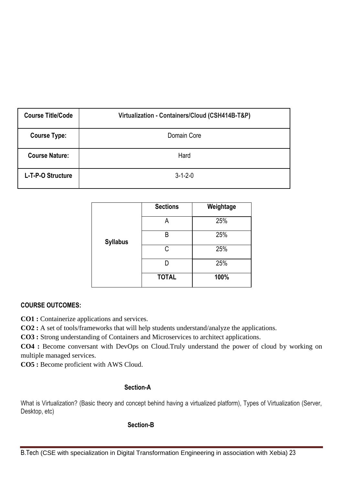| <b>Course Title/Code</b> | Virtualization - Containers/Cloud (CSH414B-T&P) |
|--------------------------|-------------------------------------------------|
| <b>Course Type:</b>      | Domain Core                                     |
| <b>Course Nature:</b>    | Hard                                            |
| L-T-P-O Structure        | $3 - 1 - 2 - 0$                                 |

|                 | <b>Sections</b> | Weightage |
|-----------------|-----------------|-----------|
|                 | А               | 25%       |
| <b>Syllabus</b> | B               | 25%       |
|                 | C               | 25%       |
|                 |                 | 25%       |
|                 | <b>TOTAL</b>    | 100%      |

# **COURSE OUTCOMES:**

**CO1 :** Containerize applications and services.

**CO2 :** A set of tools/frameworks that will help students understand/analyze the applications.

**CO3 :** Strong understanding of Containers and Microservices to architect applications.

**CO4 :** Become conversant with DevOps on Cloud.Truly understand the power of cloud by working on multiple managed services.

**CO5 :** Become proficient with AWS Cloud.

#### **Section-A**

What is Virtualization? (Basic theory and concept behind having a virtualized platform), Types of Virtualization (Server, Desktop, etc)

#### **Section-B**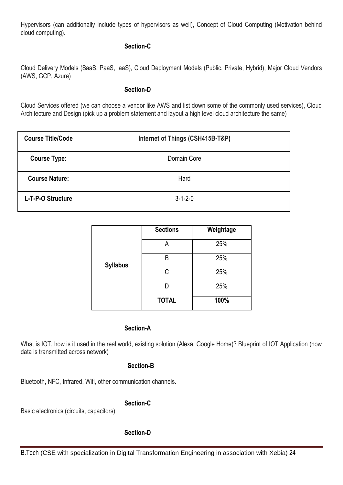Hypervisors (can additionally include types of hypervisors as well), Concept of Cloud Computing (Motivation behind cloud computing).

#### **Section-C**

Cloud Delivery Models (SaaS, PaaS, IaaS), Cloud Deployment Models (Public, Private, Hybrid), Major Cloud Vendors (AWS, GCP, Azure)

#### **Section-D**

Cloud Services offered (we can choose a vendor like AWS and list down some of the commonly used services), Cloud Architecture and Design (pick up a problem statement and layout a high level cloud architecture the same)

| <b>Course Title/Code</b> | Internet of Things (CSH415B-T&P) |
|--------------------------|----------------------------------|
| <b>Course Type:</b>      | Domain Core                      |
| <b>Course Nature:</b>    | Hard                             |
| L-T-P-O Structure        | $3 - 1 - 2 - 0$                  |

|                 | <b>Sections</b> | Weightage |
|-----------------|-----------------|-----------|
|                 | А               | 25%       |
| <b>Syllabus</b> | B               | 25%       |
|                 | C               | 25%       |
|                 |                 | 25%       |
|                 | <b>TOTAL</b>    | 100%      |

#### **Section-A**

What is IOT, how is it used in the real world, existing solution (Alexa, Google Home)? Blueprint of IOT Application (how data is transmitted across network)

## **Section-B**

Bluetooth, NFC, Infrared, Wifi, other communication channels.

#### **Section-C**

Basic electronics (circuits, capacitors)

#### **Section-D**